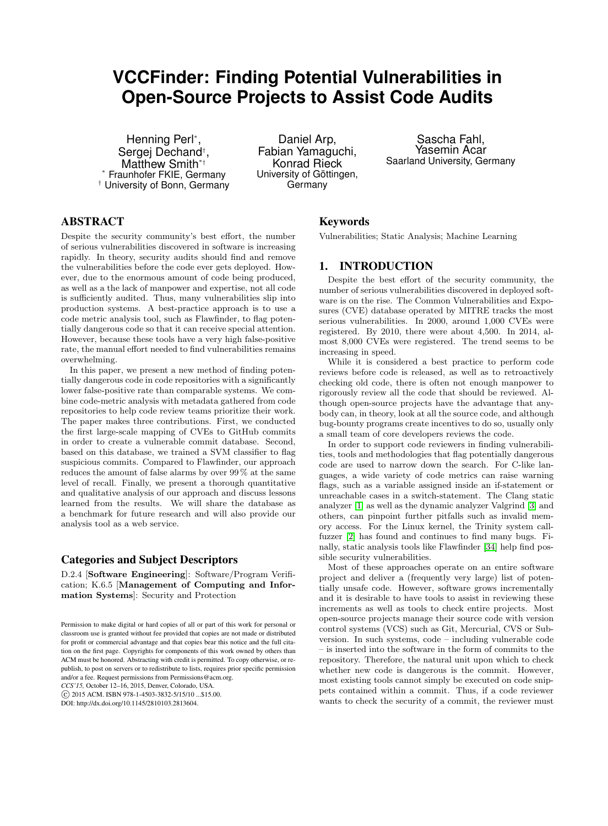# **VCCFinder: Finding Potential Vulnerabilities in Open-Source Projects to Assist Code Audits**

Henning Perl\* , Sergej Dechand† , Matthew Smith\*† \* Fraunhofer FKIE, Germany † University of Bonn, Germany

Daniel Arp, Fabian Yamaguchi, Konrad Rieck University of Göttingen, Germany

Sascha Fahl, Yasemin Acar Saarland University, Germany

# ABSTRACT

Despite the security community's best effort, the number of serious vulnerabilities discovered in software is increasing rapidly. In theory, security audits should find and remove the vulnerabilities before the code ever gets deployed. However, due to the enormous amount of code being produced, as well as a the lack of manpower and expertise, not all code is sufficiently audited. Thus, many vulnerabilities slip into production systems. A best-practice approach is to use a code metric analysis tool, such as Flawfinder, to flag potentially dangerous code so that it can receive special attention. However, because these tools have a very high false-positive rate, the manual effort needed to find vulnerabilities remains overwhelming.

In this paper, we present a new method of finding potentially dangerous code in code repositories with a significantly lower false-positive rate than comparable systems. We combine code-metric analysis with metadata gathered from code repositories to help code review teams prioritize their work. The paper makes three contributions. First, we conducted the first large-scale mapping of CVEs to GitHub commits in order to create a vulnerable commit database. Second, based on this database, we trained a SVM classifier to flag suspicious commits. Compared to Flawfinder, our approach reduces the amount of false alarms by over 99 % at the same level of recall. Finally, we present a thorough quantitative and qualitative analysis of our approach and discuss lessons learned from the results. We will share the database as a benchmark for future research and will also provide our analysis tool as a web service.

## Categories and Subject Descriptors

D.2.4 [Software Engineering]: Software/Program Verification; K.6.5 [Management of Computing and Information Systems]: Security and Protection

*CCS'15,* October 12–16, 2015, Denver, Colorado, USA.

 c 2015 ACM. ISBN 978-1-4503-3832-5/15/10 ...\$15.00. DOI: http://dx.doi.org/10.1145/2810103.2813604.

## Keywords

Vulnerabilities; Static Analysis; Machine Learning

## 1. INTRODUCTION

Despite the best effort of the security community, the number of serious vulnerabilities discovered in deployed software is on the rise. The Common Vulnerabilities and Exposures (CVE) database operated by MITRE tracks the most serious vulnerabilities. In 2000, around 1,000 CVEs were registered. By 2010, there were about 4,500. In 2014, almost 8,000 CVEs were registered. The trend seems to be increasing in speed.

While it is considered a best practice to perform code reviews before code is released, as well as to retroactively checking old code, there is often not enough manpower to rigorously review all the code that should be reviewed. Although open-source projects have the advantage that anybody can, in theory, look at all the source code, and although bug-bounty programs create incentives to do so, usually only a small team of core developers reviews the code.

In order to support code reviewers in finding vulnerabilities, tools and methodologies that flag potentially dangerous code are used to narrow down the search. For C-like languages, a wide variety of code metrics can raise warning flags, such as a variable assigned inside an if-statement or unreachable cases in a switch-statement. The Clang static analyzer [\[1\]](#page-10-0) as well as the dynamic analyzer Valgrind [\[3\]](#page-10-1) and others, can pinpoint further pitfalls such as invalid memory access. For the Linux kernel, the Trinity system callfuzzer [\[2\]](#page-10-2) has found and continues to find many bugs. Finally, static analysis tools like Flawfinder [\[34\]](#page-11-0) help find possible security vulnerabilities.

Most of these approaches operate on an entire software project and deliver a (frequently very large) list of potentially unsafe code. However, software grows incrementally and it is desirable to have tools to assist in reviewing these increments as well as tools to check entire projects. Most open-source projects manage their source code with version control systems (VCS) such as Git, Mercurial, CVS or Subversion. In such systems, code – including vulnerable code – is inserted into the software in the form of commits to the repository. Therefore, the natural unit upon which to check whether new code is dangerous is the commit. However, most existing tools cannot simply be executed on code snippets contained within a commit. Thus, if a code reviewer wants to check the security of a commit, the reviewer must

Permission to make digital or hard copies of all or part of this work for personal or classroom use is granted without fee provided that copies are not made or distributed for profit or commercial advantage and that copies bear this notice and the full citation on the first page. Copyrights for components of this work owned by others than ACM must be honored. Abstracting with credit is permitted. To copy otherwise, or republish, to post on servers or to redistribute to lists, requires prior specific permission and/or a fee. Request permissions from Permissions@acm.org.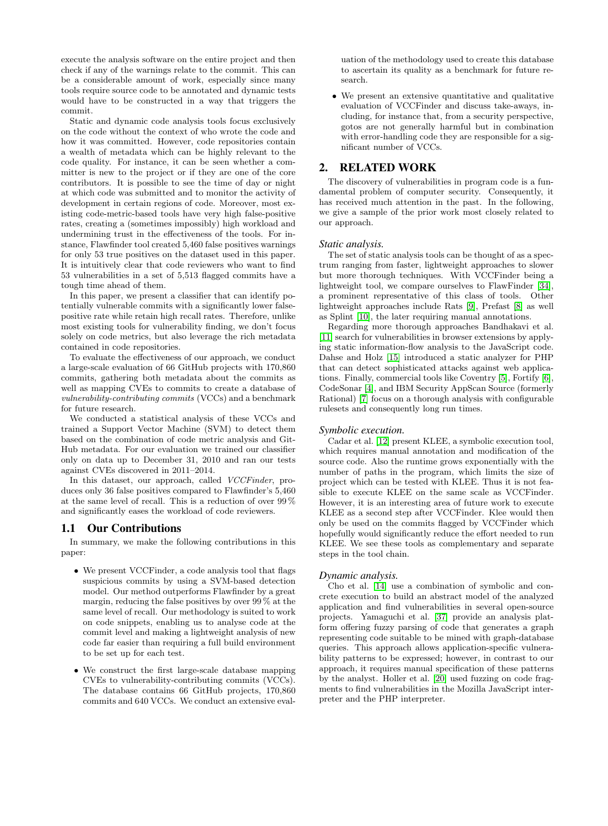execute the analysis software on the entire project and then check if any of the warnings relate to the commit. This can be a considerable amount of work, especially since many tools require source code to be annotated and dynamic tests would have to be constructed in a way that triggers the commit.

Static and dynamic code analysis tools focus exclusively on the code without the context of who wrote the code and how it was committed. However, code repositories contain a wealth of metadata which can be highly relevant to the code quality. For instance, it can be seen whether a committer is new to the project or if they are one of the core contributors. It is possible to see the time of day or night at which code was submitted and to monitor the activity of development in certain regions of code. Moreover, most existing code-metric-based tools have very high false-positive rates, creating a (sometimes impossibly) high workload and undermining trust in the effectiveness of the tools. For instance, Flawfinder tool created 5,460 false positives warnings for only 53 true positives on the dataset used in this paper. It is intuitively clear that code reviewers who want to find 53 vulnerabilities in a set of 5,513 flagged commits have a tough time ahead of them.

In this paper, we present a classifier that can identify potentially vulnerable commits with a significantly lower falsepositive rate while retain high recall rates. Therefore, unlike most existing tools for vulnerability finding, we don't focus solely on code metrics, but also leverage the rich metadata contained in code repositories.

To evaluate the effectiveness of our approach, we conduct a large-scale evaluation of 66 GitHub projects with 170,860 commits, gathering both metadata about the commits as well as mapping CVEs to commits to create a database of vulnerability-contributing commits (VCCs) and a benchmark for future research.

We conducted a statistical analysis of these VCCs and trained a Support Vector Machine (SVM) to detect them based on the combination of code metric analysis and Git-Hub metadata. For our evaluation we trained our classifier only on data up to December 31, 2010 and ran our tests against CVEs discovered in 2011–2014.

In this dataset, our approach, called *VCCFinder*, produces only 36 false positives compared to Flawfinder's 5,460 at the same level of recall. This is a reduction of over 99 % and significantly eases the workload of code reviewers.

## 1.1 Our Contributions

In summary, we make the following contributions in this paper:

- We present VCCF inder, a code analysis tool that flags suspicious commits by using a SVM-based detection model. Our method outperforms Flawfinder by a great margin, reducing the false positives by over 99 % at the same level of recall. Our methodology is suited to work on code snippets, enabling us to analyse code at the commit level and making a lightweight analysis of new code far easier than requiring a full build environment to be set up for each test.
- We construct the first large-scale database mapping CVEs to vulnerability-contributing commits (VCCs). The database contains 66 GitHub projects, 170,860 commits and 640 VCCs. We conduct an extensive eval-

uation of the methodology used to create this database to ascertain its quality as a benchmark for future research.

• We present an extensive quantitative and qualitative evaluation of VCCFinder and discuss take-aways, including, for instance that, from a security perspective, gotos are not generally harmful but in combination with error-handling code they are responsible for a significant number of VCCs.

## 2. RELATED WORK

The discovery of vulnerabilities in program code is a fundamental problem of computer security. Consequently, it has received much attention in the past. In the following, we give a sample of the prior work most closely related to our approach.

## *Static analysis.*

The set of static analysis tools can be thought of as a spectrum ranging from faster, lightweight approaches to slower but more thorough techniques. With VCCFinder being a lightweight tool, we compare ourselves to FlawFinder [\[34\]](#page-11-0), a prominent representative of this class of tools. Other lightweight approaches include Rats [\[9\]](#page-11-1), Prefast [\[8\]](#page-11-2) as well as Splint [\[10\]](#page-11-3), the later requiring manual annotations.

Regarding more thorough approaches Bandhakavi et al. [\[11\]](#page-11-4) search for vulnerabilities in browser extensions by applying static information-flow analysis to the JavaScript code. Dahse and Holz [\[15\]](#page-11-5) introduced a static analyzer for PHP that can detect sophisticated attacks against web applications. Finally, commercial tools like Coventry [\[5\]](#page-10-3), Fortify [\[6\]](#page-10-4), CodeSonar [\[4\]](#page-10-5), and IBM Security AppScan Source (formerly Rational) [\[7\]](#page-11-6) focus on a thorough analysis with configurable rulesets and consequently long run times.

## *Symbolic execution.*

Cadar et al. [\[12\]](#page-11-7) present KLEE, a symbolic execution tool, which requires manual annotation and modification of the source code. Also the runtime grows exponentially with the number of paths in the program, which limits the size of project which can be tested with KLEE. Thus it is not feasible to execute KLEE on the same scale as VCCFinder. However, it is an interesting area of future work to execute KLEE as a second step after VCCFinder. Klee would then only be used on the commits flagged by VCCFinder which hopefully would significantly reduce the effort needed to run KLEE. We see these tools as complementary and separate steps in the tool chain.

#### *Dynamic analysis.*

Cho et al. [\[14\]](#page-11-8) use a combination of symbolic and concrete execution to build an abstract model of the analyzed application and find vulnerabilities in several open-source projects. Yamaguchi et al. [\[37\]](#page-11-9) provide an analysis platform offering fuzzy parsing of code that generates a graph representing code suitable to be mined with graph-database queries. This approach allows application-specific vulnerability patterns to be expressed; however, in contrast to our approach, it requires manual specification of these patterns by the analyst. Holler et al. [\[20\]](#page-11-10) used fuzzing on code fragments to find vulnerabilities in the Mozilla JavaScript interpreter and the PHP interpreter.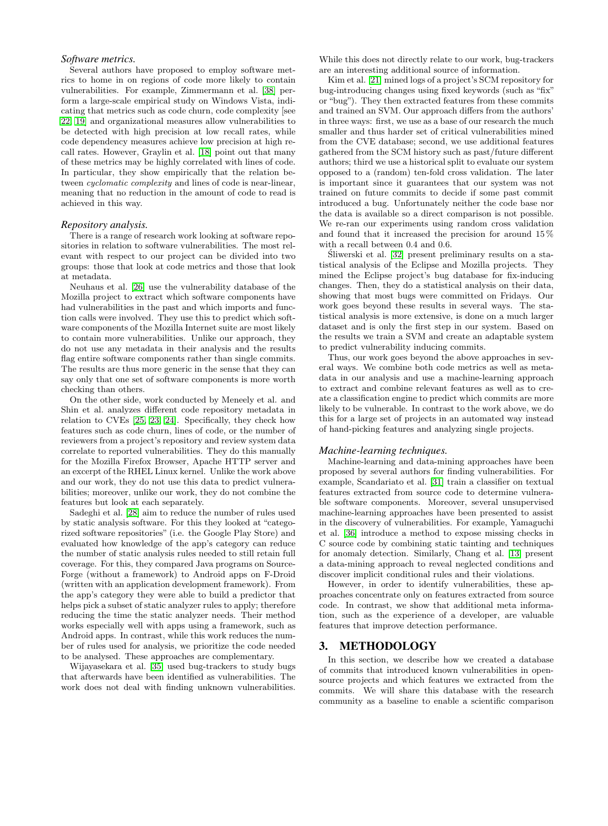#### *Software metrics.*

Several authors have proposed to employ software metrics to home in on regions of code more likely to contain vulnerabilities. For example, Zimmermann et al. [\[38\]](#page-11-11) perform a large-scale empirical study on Windows Vista, indicating that metrics such as code churn, code complexity [see [22,](#page-11-12) [19\]](#page-11-13) and organizational measures allow vulnerabilities to be detected with high precision at low recall rates, while code dependency measures achieve low precision at high recall rates. However, Graylin et al. [\[18\]](#page-11-14) point out that many of these metrics may be highly correlated with lines of code. In particular, they show empirically that the relation between cyclomatic complexity and lines of code is near-linear, meaning that no reduction in the amount of code to read is achieved in this way.

#### *Repository analysis.*

There is a range of research work looking at software repositories in relation to software vulnerabilities. The most relevant with respect to our project can be divided into two groups: those that look at code metrics and those that look at metadata.

Neuhaus et al. [\[26\]](#page-11-15) use the vulnerability database of the Mozilla project to extract which software components have had vulnerabilities in the past and which imports and function calls were involved. They use this to predict which software components of the Mozilla Internet suite are most likely to contain more vulnerabilities. Unlike our approach, they do not use any metadata in their analysis and the results flag entire software components rather than single commits. The results are thus more generic in the sense that they can say only that one set of software components is more worth checking than others.

On the other side, work conducted by Meneely et al. and Shin et al. analyzes different code repository metadata in relation to CVEs [\[25,](#page-11-16) [23,](#page-11-17) [24\]](#page-11-18). Specifically, they check how features such as code churn, lines of code, or the number of reviewers from a project's repository and review system data correlate to reported vulnerabilities. They do this manually for the Mozilla Firefox Browser, Apache HTTP server and an excerpt of the RHEL Linux kernel. Unlike the work above and our work, they do not use this data to predict vulnerabilities; moreover, unlike our work, they do not combine the features but look at each separately.

Sadeghi et al. [\[28\]](#page-11-19) aim to reduce the number of rules used by static analysis software. For this they looked at "categorized software repositories" (i.e. the Google Play Store) and evaluated how knowledge of the app's category can reduce the number of static analysis rules needed to still retain full coverage. For this, they compared Java programs on Source-Forge (without a framework) to Android apps on F-Droid (written with an application development framework). From the app's category they were able to build a predictor that helps pick a subset of static analyzer rules to apply; therefore reducing the time the static analyzer needs. Their method works especially well with apps using a framework, such as Android apps. In contrast, while this work reduces the number of rules used for analysis, we prioritize the code needed to be analysed. These approaches are complementary.

Wijayasekara et al. [\[35\]](#page-11-20) used bug-trackers to study bugs that afterwards have been identified as vulnerabilities. The work does not deal with finding unknown vulnerabilities.

While this does not directly relate to our work, bug-trackers are an interesting additional source of information.

Kim et al. [\[21\]](#page-11-21) mined logs of a project's SCM repository for bug-introducing changes using fixed keywords (such as "fix" or "bug"). They then extracted features from these commits and trained an SVM. Our approach differs from the authors' in three ways: first, we use as a base of our research the much smaller and thus harder set of critical vulnerabilities mined from the CVE database; second, we use additional features gathered from the SCM history such as past/future different authors; third we use a historical split to evaluate our system opposed to a (random) ten-fold cross validation. The later is important since it guarantees that our system was not trained on future commits to decide if some past commit introduced a bug. Unfortunately neither the code base nor the data is available so a direct comparison is not possible. We re-ran our experiments using random cross validation and found that it increased the precision for around 15 % with a recall between 0.4 and 0.6.

Sliwerski et al. [\[32\]](#page-11-22) present preliminary results on a statistical analysis of the Eclipse and Mozilla projects. They mined the Eclipse project's bug database for fix-inducing changes. Then, they do a statistical analysis on their data, showing that most bugs were committed on Fridays. Our work goes beyond these results in several ways. The statistical analysis is more extensive, is done on a much larger dataset and is only the first step in our system. Based on the results we train a SVM and create an adaptable system to predict vulnerability inducing commits.

Thus, our work goes beyond the above approaches in several ways. We combine both code metrics as well as metadata in our analysis and use a machine-learning approach to extract and combine relevant features as well as to create a classification engine to predict which commits are more likely to be vulnerable. In contrast to the work above, we do this for a large set of projects in an automated way instead of hand-picking features and analyzing single projects.

#### *Machine-learning techniques.*

Machine-learning and data-mining approaches have been proposed by several authors for finding vulnerabilities. For example, Scandariato et al. [\[31\]](#page-11-23) train a classifier on textual features extracted from source code to determine vulnerable software components. Moreover, several unsupervised machine-learning approaches have been presented to assist in the discovery of vulnerabilities. For example, Yamaguchi et al. [\[36\]](#page-11-24) introduce a method to expose missing checks in C source code by combining static tainting and techniques for anomaly detection. Similarly, Chang et al. [\[13\]](#page-11-25) present a data-mining approach to reveal neglected conditions and discover implicit conditional rules and their violations.

However, in order to identify vulnerabilities, these approaches concentrate only on features extracted from source code. In contrast, we show that additional meta information, such as the experience of a developer, are valuable features that improve detection performance.

## 3. METHODOLOGY

In this section, we describe how we created a database of commits that introduced known vulnerabilities in opensource projects and which features we extracted from the commits. We will share this database with the research community as a baseline to enable a scientific comparison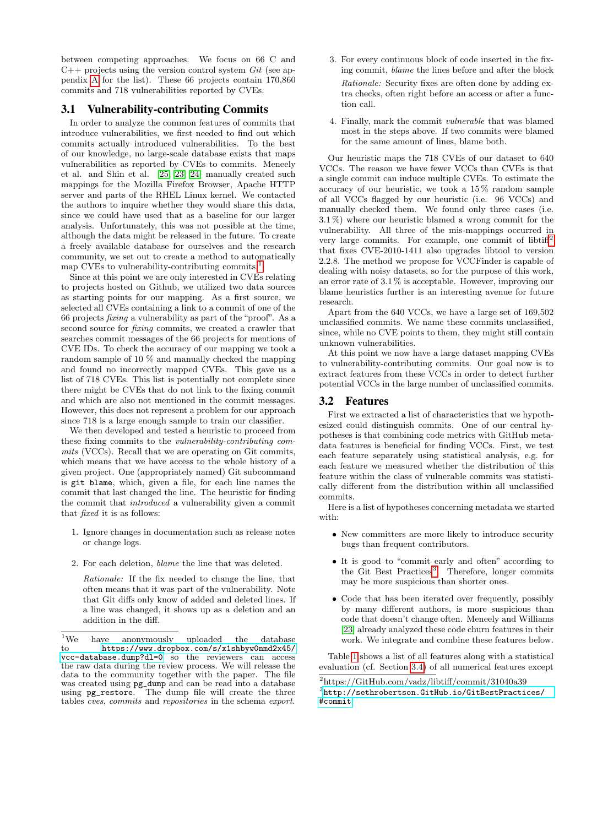between competing approaches. We focus on 66 C and  $C++$  projects using the version control system  $Git$  (see appendix [A](#page-11-26) for the list). These 66 projects contain 170,860 commits and 718 vulnerabilities reported by CVEs.

## 3.1 Vulnerability-contributing Commits

In order to analyze the common features of commits that introduce vulnerabilities, we first needed to find out which commits actually introduced vulnerabilities. To the best of our knowledge, no large-scale database exists that maps vulnerabilities as reported by CVEs to commits. Meneely et al. and Shin et al. [\[25,](#page-11-16) [23,](#page-11-17) [24\]](#page-11-18) manually created such mappings for the Mozilla Firefox Browser, Apache HTTP server and parts of the RHEL Linux kernel. We contacted the authors to inquire whether they would share this data, since we could have used that as a baseline for our larger analysis. Unfortunately, this was not possible at the time, although the data might be released in the future. To create a freely available database for ourselves and the research community, we set out to create a method to automatically map CVEs to vulnerability-contributing commits.<sup>[1](#page-3-0)</sup>

Since at this point we are only interested in CVEs relating to projects hosted on Github, we utilized two data sources as starting points for our mapping. As a first source, we selected all CVEs containing a link to a commit of one of the 66 projects fixing a vulnerability as part of the "proof". As a second source for *fixing* commits, we created a crawler that searches commit messages of the 66 projects for mentions of CVE IDs. To check the accuracy of our mapping we took a random sample of 10 % and manually checked the mapping and found no incorrectly mapped CVEs. This gave us a list of 718 CVEs. This list is potentially not complete since there might be CVEs that do not link to the fixing commit and which are also not mentioned in the commit messages. However, this does not represent a problem for our approach since 718 is a large enough sample to train our classifier.

We then developed and tested a heuristic to proceed from these fixing commits to the vulnerability-contributing commits (VCCs). Recall that we are operating on Git commits, which means that we have access to the whole history of a given project. One (appropriately named) Git subcommand is git blame, which, given a file, for each line names the commit that last changed the line. The heuristic for finding the commit that introduced a vulnerability given a commit that fixed it is as follows:

- 1. Ignore changes in documentation such as release notes or change logs.
- 2. For each deletion, blame the line that was deleted.

Rationale: If the fix needed to change the line, that often means that it was part of the vulnerability. Note that Git diffs only know of added and deleted lines. If a line was changed, it shows up as a deletion and an addition in the diff.

- 3. For every continuous block of code inserted in the fixing commit, blame the lines before and after the block Rationale: Security fixes are often done by adding extra checks, often right before an access or after a function call.
- 4. Finally, mark the commit vulnerable that was blamed most in the steps above. If two commits were blamed for the same amount of lines, blame both.

Our heuristic maps the 718 CVEs of our dataset to 640 VCCs. The reason we have fewer VCCs than CVEs is that a single commit can induce multiple CVEs. To estimate the accuracy of our heuristic, we took a 15 % random sample of all VCCs flagged by our heuristic (i.e. 96 VCCs) and manually checked them. We found only three cases (i.e. 3.1 %) where our heuristic blamed a wrong commit for the vulnerability. All three of the mis-mappings occurred in very large commits. For example, one commit of libtiff<sup>[2](#page-3-1)</sup> that fixes CVE-2010-1411 also upgrades libtool to version 2.2.8. The method we propose for VCCFinder is capable of dealing with noisy datasets, so for the purpose of this work, an error rate of 3.1 % is acceptable. However, improving our blame heuristics further is an interesting avenue for future research.

Apart from the 640 VCCs, we have a large set of 169,502 unclassified commits. We name these commits unclassified, since, while no CVE points to them, they might still contain unknown vulnerabilities.

At this point we now have a large dataset mapping CVEs to vulnerability-contributing commits. Our goal now is to extract features from these VCCs in order to detect further potential VCCs in the large number of unclassified commits.

## 3.2 Features

First we extracted a list of characteristics that we hypothesized could distinguish commits. One of our central hypotheses is that combining code metrics with GitHub metadata features is beneficial for finding VCCs. First, we test each feature separately using statistical analysis, e.g. for each feature we measured whether the distribution of this feature within the class of vulnerable commits was statistically different from the distribution within all unclassified commits.

Here is a list of hypotheses concerning metadata we started with:

- New committers are more likely to introduce security bugs than frequent contributors.
- It is good to "commit early and often" according to the Git Best Practices<sup>[3](#page-3-2)</sup>. Therefore, longer commits may be more suspicious than shorter ones.
- Code that has been iterated over frequently, possibly by many different authors, is more suspicious than code that doesn't change often. Meneely and Williams [\[23\]](#page-11-17) already analyzed these code churn features in their work. We integrate and combine these features below.

Table [1](#page-4-0) shows a list of all features along with a statistical evaluation (cf. Section [3.4\)](#page-5-0) of all numerical features except

<span id="page-3-0"></span><sup>&</sup>lt;sup>1</sup>We have anonymously uploaded the database to [https://www.dropbox.com/s/x1shbyw0nmd2x45/](https://www.dropbox.com/s/x1shbyw0nmd2x45/vcc-database.dump?dl=0) [vcc-database.dump?dl=0](https://www.dropbox.com/s/x1shbyw0nmd2x45/vcc-database.dump?dl=0) so the reviewers can access the raw data during the review process. We will release the data to the community together with the paper. The file was created using  $pg\_dump$  and can be read into a database using  $pg\_restore$ . The dump file will create the three The dump file will create the three tables cves, commits and repositories in the schema export.

<span id="page-3-2"></span><span id="page-3-1"></span> $^2$ https://GitHub.com/vadz/libtiff/commit/31040a39 3 [http://sethrobertson.GitHub.io/GitBestPractices/](http://sethrobertson.GitHub.io/GitBestPractices/#commit) [#commit](http://sethrobertson.GitHub.io/GitBestPractices/#commit)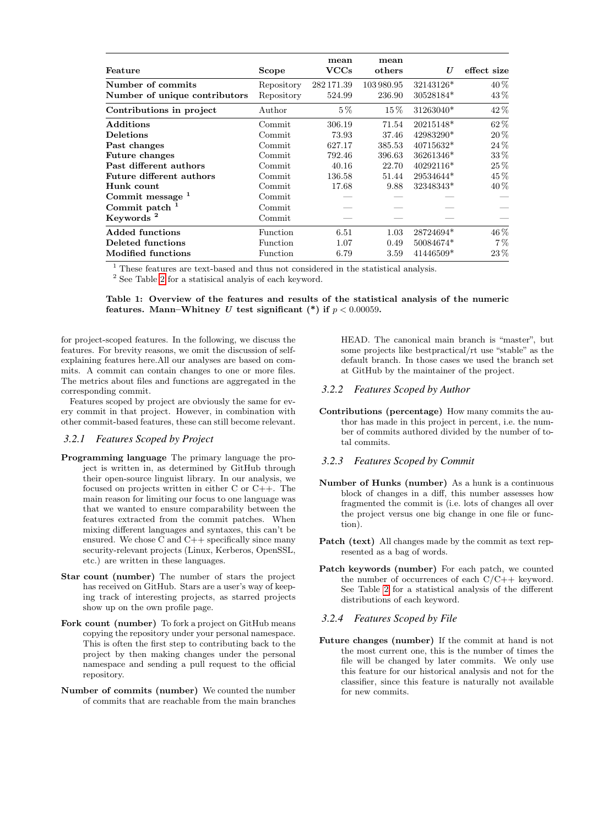| Feature                                            | <b>Scope</b>             | mean<br>$\rm VCCs$  | mean<br>others      | U                      | effect size   |
|----------------------------------------------------|--------------------------|---------------------|---------------------|------------------------|---------------|
| Number of commits<br>Number of unique contributors | Repository<br>Repository | 282171.39<br>524.99 | 103980.95<br>236.90 | 32143126*<br>30528184* | $40\%$<br>43% |
|                                                    |                          |                     |                     |                        |               |
| Contributions in project                           | Author                   | $5\%$               | $15\,\%$            | 31263040*              | 42%           |
| Additions                                          | $\operatorname{Commit}$  | 306.19              | 71.54               | 20215148*              | 62%           |
| Deletions                                          | $\operatorname{Commit}$  | 73.93               | 37.46               | 42983290*              | $20\%$        |
| Past changes                                       | Commit                   | 627.17              | 385.53              | 40715632*              | 24%           |
| <b>Future</b> changes                              | $\operatorname{Commit}$  | 792.46              | 396.63              | 36261346*              | $33\%$        |
| Past different authors                             | $\operatorname{Commit}$  | 40.16               | 22.70               | 40292116*              | $25\%$        |
| Future different authors                           | $\operatorname{Commit}$  | 136.58              | 51.44               | 29534644*              | 45%           |
| Hunk count                                         | Commit                   | 17.68               | 9.88                | 32348343*              | 40%           |
| Commit message <sup>1</sup>                        | Commit                   |                     |                     |                        |               |
| Commit patch $1$                                   | Commit                   |                     |                     |                        |               |
| Keywords <sup>2</sup>                              | $\operatorname{Commit}$  |                     |                     |                        |               |
| <b>Added functions</b>                             | Function                 | 6.51                | 1.03                | 28724694*              | 46 %          |
| Deleted functions                                  | Function                 | 1.07                | 0.49                | 50084674*              | $7\%$         |
| <b>Modified functions</b>                          | Function                 | 6.79                | 3.59                | 41446509*              | 23%           |

 $^{\rm 1}$  These features are text-based and thus not considered in the statistical analysis.

<span id="page-4-0"></span><sup>2</sup> See Table [2](#page-5-1) for a statisical analyis of each keyword.

## Table 1: Overview of the features and results of the statistical analysis of the numeric features. Mann–Whitney U test significant (\*) if  $p < 0.00059$ .

for project-scoped features. In the following, we discuss the features. For brevity reasons, we omit the discussion of selfexplaining features here.All our analyses are based on commits. A commit can contain changes to one or more files. The metrics about files and functions are aggregated in the corresponding commit.

Features scoped by project are obviously the same for every commit in that project. However, in combination with other commit-based features, these can still become relevant.

## *3.2.1 Features Scoped by Project*

- Programming language The primary language the project is written in, as determined by GitHub through their open-source linguist library. In our analysis, we focused on projects written in either C or C++. The main reason for limiting our focus to one language was that we wanted to ensure comparability between the features extracted from the commit patches. When mixing different languages and syntaxes, this can't be ensured. We chose C and  $C_{++}$  specifically since many security-relevant projects (Linux, Kerberos, OpenSSL, etc.) are written in these languages.
- Star count (number) The number of stars the project has received on GitHub. Stars are a user's way of keeping track of interesting projects, as starred projects show up on the own profile page.
- Fork count (number) To fork a project on GitHub means copying the repository under your personal namespace. This is often the first step to contributing back to the project by then making changes under the personal namespace and sending a pull request to the official repository.
- Number of commits (number) We counted the number of commits that are reachable from the main branches

HEAD. The canonical main branch is "master", but some projects like bestpractical/rt use "stable" as the default branch. In those cases we used the branch set at GitHub by the maintainer of the project.

#### *3.2.2 Features Scoped by Author*

Contributions (percentage) How many commits the author has made in this project in percent, i.e. the number of commits authored divided by the number of total commits.

#### *3.2.3 Features Scoped by Commit*

- Number of Hunks (number) As a hunk is a continuous block of changes in a diff, this number assesses how fragmented the commit is (i.e. lots of changes all over the project versus one big change in one file or function).
- Patch (text) All changes made by the commit as text represented as a bag of words.
- Patch keywords (number) For each patch, we counted the number of occurrences of each  $C/C++$  keyword. See Table [2](#page-5-1) for a statistical analysis of the different distributions of each keyword.

#### *3.2.4 Features Scoped by File*

Future changes (number) If the commit at hand is not the most current one, this is the number of times the file will be changed by later commits. We only use this feature for our historical analysis and not for the classifier, since this feature is naturally not available for new commits.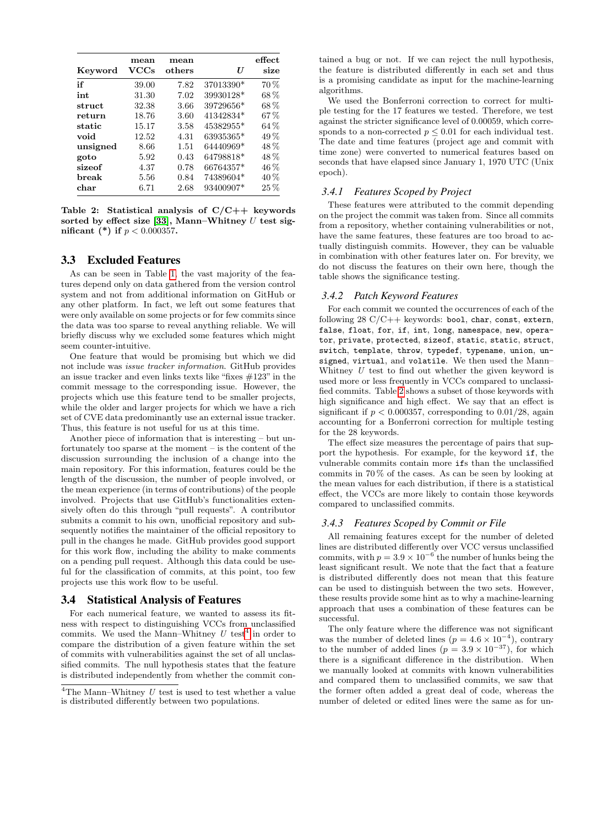| Keyword  | mean<br>${\bf VCCs}$ | mean<br>others | $\boldsymbol{U}$ | effect<br>size |
|----------|----------------------|----------------|------------------|----------------|
| if       | 39.00                | 7.82           | 37013390*        | 70%            |
| int      | 31.30                | 7.02           | 39930128*        | 68\%           |
| struct   | 32.38                | 3.66           | 39729656*        | 68%            |
| return   | 18.76                | 3.60           | 41342834*        | $67\%$         |
| static   | 15.17                | 3.58           | 45382955*        | 64%            |
| void     | 12.52                | 4.31           | 63935365*        | 49%            |
| unsigned | 8.66                 | 1.51           | 64440969*        | 48\%           |
| goto     | 5.92                 | 0.43           | 64798818*        | 48 %           |
| sizeof   | 4.37                 | 0.78           | 66764357*        | 46 %           |
| break    | 5.56                 | 0.84           | 74389604*        | 40%            |
| char     | 6.71                 | 2.68           | 93400907*        | $25\,\%$       |

<span id="page-5-1"></span>Table 2: Statistical analysis of  $C/C++$  keywords sorted by effect size [\[33\]](#page-11-27), Mann–Whitney  $U$  test significant (\*) if  $p < 0.000357$ .

## 3.3 Excluded Features

As can be seen in Table [1,](#page-4-0) the vast majority of the features depend only on data gathered from the version control system and not from additional information on GitHub or any other platform. In fact, we left out some features that were only available on some projects or for few commits since the data was too sparse to reveal anything reliable. We will briefly discuss why we excluded some features which might seem counter-intuitive.

One feature that would be promising but which we did not include was issue tracker information. GitHub provides an issue tracker and even links texts like "fixes #123" in the commit message to the corresponding issue. However, the projects which use this feature tend to be smaller projects, while the older and larger projects for which we have a rich set of CVE data predominantly use an external issue tracker. Thus, this feature is not useful for us at this time.

Another piece of information that is interesting – but unfortunately too sparse at the moment – is the content of the discussion surrounding the inclusion of a change into the main repository. For this information, features could be the length of the discussion, the number of people involved, or the mean experience (in terms of contributions) of the people involved. Projects that use GitHub's functionalities extensively often do this through "pull requests". A contributor submits a commit to his own, unofficial repository and subsequently notifies the maintainer of the official repository to pull in the changes he made. GitHub provides good support for this work flow, including the ability to make comments on a pending pull request. Although this data could be useful for the classification of commits, at this point, too few projects use this work flow to be useful.

#### <span id="page-5-0"></span>3.4 Statistical Analysis of Features

For each numerical feature, we wanted to assess its fitness with respect to distinguishing VCCs from unclassified commits. We used the Mann–Whitney  $U$  test<sup>[4](#page-5-2)</sup> in order to compare the distribution of a given feature within the set of commits with vulnerabilities against the set of all unclassified commits. The null hypothesis states that the feature is distributed independently from whether the commit contained a bug or not. If we can reject the null hypothesis, the feature is distributed differently in each set and thus is a promising candidate as input for the machine-learning algorithms.

We used the Bonferroni correction to correct for multiple testing for the 17 features we tested. Therefore, we test against the stricter significance level of 0.00059, which corresponds to a non-corrected  $p \leq 0.01$  for each individual test. The date and time features (project age and commit with time zone) were converted to numerical features based on seconds that have elapsed since January 1, 1970 UTC (Unix epoch).

## *3.4.1 Features Scoped by Project*

These features were attributed to the commit depending on the project the commit was taken from. Since all commits from a repository, whether containing vulnerabilities or not, have the same features, these features are too broad to actually distinguish commits. However, they can be valuable in combination with other features later on. For brevity, we do not discuss the features on their own here, though the table shows the significance testing.

#### *3.4.2 Patch Keyword Features*

For each commit we counted the occurrences of each of the following  $28 \text{ C/C++}$  keywords: bool, char, const, extern, false, float, for, if, int, long, namespace, new, operator, private, protected, sizeof, static, static, struct, switch, template, throw, typedef, typename, union, unsigned, virtual, and volatile. We then used the Mann– Whitney  $U$  test to find out whether the given keyword is used more or less frequently in VCCs compared to unclassified commits. Table [2](#page-5-1) shows a subset of those keywords with high significance and high effect. We say that an effect is significant if  $p < 0.000357$ , corresponding to 0.01/28, again accounting for a Bonferroni correction for multiple testing for the 28 keywords.

The effect size measures the percentage of pairs that support the hypothesis. For example, for the keyword if, the vulnerable commits contain more ifs than the unclassified commits in 70 % of the cases. As can be seen by looking at the mean values for each distribution, if there is a statistical effect, the VCCs are more likely to contain those keywords compared to unclassified commits.

#### *3.4.3 Features Scoped by Commit or File*

All remaining features except for the number of deleted lines are distributed differently over VCC versus unclassified commits, with  $p = 3.9 \times 10^{-6}$  the number of hunks being the least significant result. We note that the fact that a feature is distributed differently does not mean that this feature can be used to distinguish between the two sets. However, these results provide some hint as to why a machine-learning approach that uses a combination of these features can be successful.

The only feature where the difference was not significant was the number of deleted lines ( $p = 4.6 \times 10^{-4}$ ), contrary to the number of added lines  $(p = 3.9 \times 10^{-37})$ , for which there is a significant difference in the distribution. When we manually looked at commits with known vulnerabilities and compared them to unclassified commits, we saw that the former often added a great deal of code, whereas the number of deleted or edited lines were the same as for un-

<span id="page-5-2"></span><sup>&</sup>lt;sup>4</sup>The Mann–Whitney  $U$  test is used to test whether a value is distributed differently between two populations.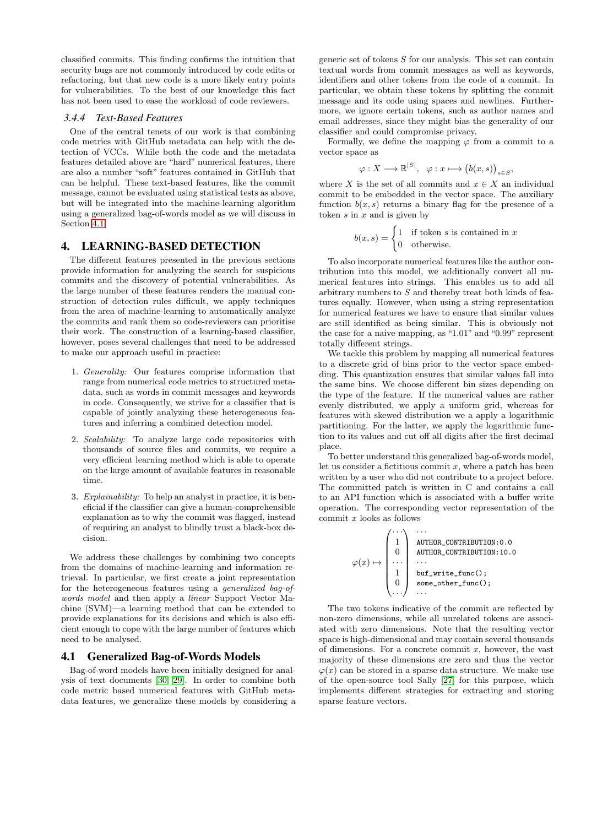classified commits. This finding confirms the intuition that security bugs are not commonly introduced by code edits or refactoring, but that new code is a more likely entry points for vulnerabilities. To the best of our knowledge this fact has not been used to ease the workload of code reviewers.

### *3.4.4 Text-Based Features*

One of the central tenets of our work is that combining code metrics with GitHub metadata can help with the detection of VCCs. While both the code and the metadata features detailed above are "hard" numerical features, there are also a number "soft" features contained in GitHub that can be helpful. These text-based features, like the commit message, cannot be evaluated using statistical tests as above, but will be integrated into the machine-learning algorithm using a generalized bag-of-words model as we will discuss in Section [4.1.](#page-6-0)

## 4. LEARNING-BASED DETECTION

The different features presented in the previous sections provide information for analyzing the search for suspicious commits and the discovery of potential vulnerabilities. As the large number of these features renders the manual construction of detection rules difficult, we apply techniques from the area of machine-learning to automatically analyze the commits and rank them so code-reviewers can prioritise their work. The construction of a learning-based classifier, however, poses several challenges that need to be addressed to make our approach useful in practice:

- 1. Generality: Our features comprise information that range from numerical code metrics to structured metadata, such as words in commit messages and keywords in code. Consequently, we strive for a classifier that is capable of jointly analyzing these heterogeneous features and inferring a combined detection model.
- 2. Scalability: To analyze large code repositories with thousands of source files and commits, we require a very efficient learning method which is able to operate on the large amount of available features in reasonable time.
- 3. Explainability: To help an analyst in practice, it is beneficial if the classifier can give a human-comprehensible explanation as to why the commit was flagged, instead of requiring an analyst to blindly trust a black-box decision.

We address these challenges by combining two concepts from the domains of machine-learning and information retrieval. In particular, we first create a joint representation for the heterogeneous features using a generalized bag-ofwords model and then apply a linear Support Vector Machine (SVM)—a learning method that can be extended to provide explanations for its decisions and which is also efficient enough to cope with the large number of features which need to be analysed.

## <span id="page-6-0"></span>4.1 Generalized Bag-of-Words Models

Bag-of-word models have been initially designed for analysis of text documents [\[30,](#page-11-28) [29\]](#page-11-29). In order to combine both code metric based numerical features with GitHub metadata features, we generalize these models by considering a generic set of tokens S for our analysis. This set can contain textual words from commit messages as well as keywords, identifiers and other tokens from the code of a commit. In particular, we obtain these tokens by splitting the commit message and its code using spaces and newlines. Furthermore, we ignore certain tokens, such as author names and email addresses, since they might bias the generality of our classifier and could compromise privacy.

Formally, we define the mapping  $\varphi$  from a commit to a vector space as

$$
\varphi: X \longrightarrow \mathbb{R}^{|S|}, \quad \varphi: x \longmapsto (b(x, s))_{s \in S},
$$

where X is the set of all commits and  $x \in X$  an individual commit to be embedded in the vector space. The auxiliary function  $b(x, s)$  returns a binary flag for the presence of a token  $s$  in  $x$  and is given by

$$
b(x,s) = \begin{cases} 1 & \text{if token } s \text{ is contained in } x \\ 0 & \text{otherwise.} \end{cases}
$$

To also incorporate numerical features like the author contribution into this model, we additionally convert all numerical features into strings. This enables us to add all arbitrary numbers to  $S$  and thereby treat both kinds of features equally. However, when using a string representation for numerical features we have to ensure that similar values are still identified as being similar. This is obviously not the case for a naive mapping, as "1.01" and "0.99" represent totally different strings.

We tackle this problem by mapping all numerical features to a discrete grid of bins prior to the vector space embedding. This quantization ensures that similar values fall into the same bins. We choose different bin sizes depending on the type of the feature. If the numerical values are rather evenly distributed, we apply a uniform grid, whereas for features with skewed distribution we a apply a logarithmic partitioning. For the latter, we apply the logarithmic function to its values and cut off all digits after the first decimal place.

To better understand this generalized bag-of-words model, let us consider a fictitious commit  $x$ , where a patch has been written by a user who did not contribute to a project before. The committed patch is written in C and contains a call to an API function which is associated with a buffer write operation. The corresponding vector representation of the  $commit x$  looks as follows

ϕ(x) 7→ · · · 1 0 · · · 1 0 · · · · · · AUTHOR\_CONTRIBUTION:0.0 AUTHOR\_CONTRIBUTION:10.0 · · · buf\_write\_func(); some\_other\_func(); · · ·

The two tokens indicative of the commit are reflected by non-zero dimensions, while all unrelated tokens are associated with zero dimensions. Note that the resulting vector space is high-dimensional and may contain several thousands of dimensions. For a concrete commit  $x$ , however, the vast majority of these dimensions are zero and thus the vector  $\varphi(x)$  can be stored in a sparse data structure. We make use of the open-source tool Sally [\[27\]](#page-11-30) for this purpose, which implements different strategies for extracting and storing sparse feature vectors.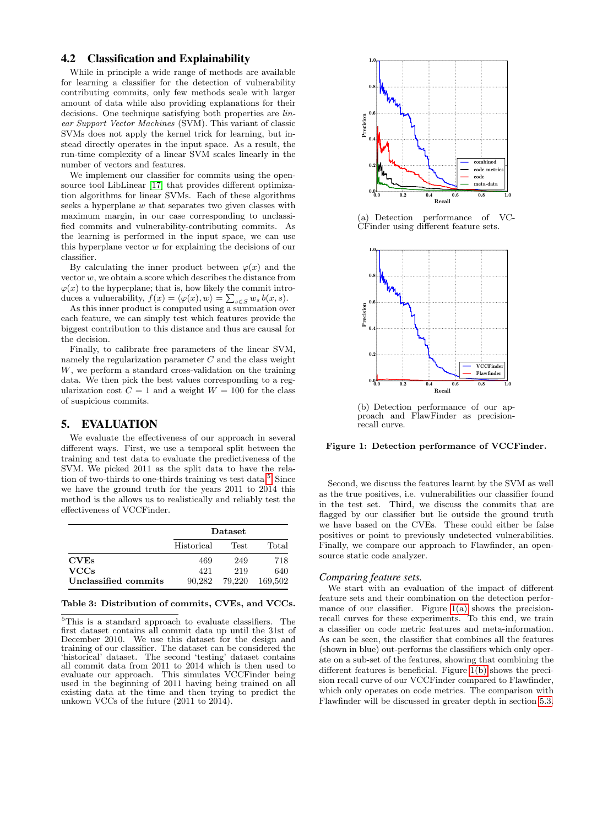## 4.2 Classification and Explainability

While in principle a wide range of methods are available for learning a classifier for the detection of vulnerability contributing commits, only few methods scale with larger amount of data while also providing explanations for their decisions. One technique satisfying both properties are *lin*ear Support Vector Machines (SVM). This variant of classic SVMs does not apply the kernel trick for learning, but instead directly operates in the input space. As a result, the run-time complexity of a linear SVM scales linearly in the number of vectors and features.

We implement our classifier for commits using the opensource tool LibLinear [\[17\]](#page-11-31) that provides different optimization algorithms for linear SVMs. Each of these algorithms seeks a hyperplane w that separates two given classes with maximum margin, in our case corresponding to unclassified commits and vulnerability-contributing commits. As the learning is performed in the input space, we can use this hyperplane vector  $w$  for explaining the decisions of our classifier.

By calculating the inner product between  $\varphi(x)$  and the vector  $w$ , we obtain a score which describes the distance from  $\varphi(x)$  to the hyperplane; that is, how likely the commit introduces a vulnerability,  $f(x) = \langle \varphi(x), w \rangle = \sum_{s \in S} w_s b(x, s)$ .

As this inner product is computed using a summation over each feature, we can simply test which features provide the biggest contribution to this distance and thus are causal for the decision.

Finally, to calibrate free parameters of the linear SVM, namely the regularization parameter  $C$  and the class weight  $W$ , we perform a standard cross-validation on the training data. We then pick the best values corresponding to a regularization cost  $C = 1$  and a weight  $W = 100$  for the class of suspicious commits.

## 5. EVALUATION

We evaluate the effectiveness of our approach in several different ways. First, we use a temporal split between the training and test data to evaluate the predictiveness of the SVM. We picked 2011 as the split data to have the rela-tion of two-thirds to one-thirds training vs test data.<sup>[5](#page-7-0)</sup> Since we have the ground truth for the years 2011 to 2014 this method is the allows us to realistically and reliably test the effectiveness of VCCFinder.

|                      | Dataset    |        |              |  |  |
|----------------------|------------|--------|--------------|--|--|
|                      | Historical | Test   | <b>Total</b> |  |  |
| CVEs                 | 469        | 249    | 718          |  |  |
| <b>VCCs</b>          | 421        | 219    | 640          |  |  |
| Unclassified commits | 90.282     | 79.220 | 169,502      |  |  |

#### Table 3: Distribution of commits, CVEs, and VCCs.

<span id="page-7-0"></span><sup>5</sup>This is a standard approach to evaluate classifiers. The first dataset contains all commit data up until the 31st of December 2010. We use this dataset for the design and training of our classifier. The dataset can be considered the 'historical' dataset. The second 'testing' dataset contains all commit data from 2011 to 2014 which is then used to evaluate our approach. This simulates VCCFinder being used in the beginning of 2011 having being trained on all existing data at the time and then trying to predict the unkown VCCs of the future (2011 to 2014).

<span id="page-7-1"></span>

(a) Detection performance of VC-CFinder using different feature sets.



<span id="page-7-2"></span>(b) Detection performance of our approach and FlawFinder as precisionrecall curve.

#### Figure 1: Detection performance of VCCFinder.

Second, we discuss the features learnt by the SVM as well as the true positives, i.e. vulnerabilities our classifier found in the test set. Third, we discuss the commits that are flagged by our classifier but lie outside the ground truth we have based on the CVEs. These could either be false positives or point to previously undetected vulnerabilities. Finally, we compare our approach to Flawfinder, an opensource static code analyzer.

#### *Comparing feature sets.*

We start with an evaluation of the impact of different feature sets and their combination on the detection performance of our classifier. Figure  $1(a)$  shows the precisionrecall curves for these experiments. To this end, we train a classifier on code metric features and meta-information. As can be seen, the classifier that combines all the features (shown in blue) out-performs the classifiers which only operate on a sub-set of the features, showing that combining the different features is beneficial. Figure [1\(b\)](#page-7-2) shows the precision recall curve of our VCCFinder compared to Flawfinder, which only operates on code metrics. The comparison with Flawfinder will be discussed in greater depth in section [5.3.](#page-8-0)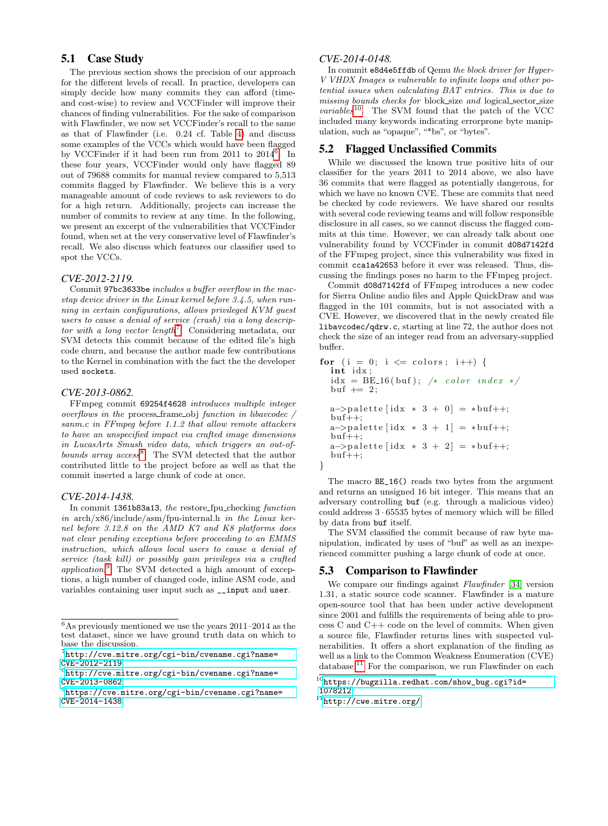## 5.1 Case Study

The previous section shows the precision of our approach for the different levels of recall. In practice, developers can simply decide how many commits they can afford (timeand cost-wise) to review and VCCFinder will improve their chances of finding vulnerabilities. For the sake of comparison with Flawfinder, we now set VCCFinder's recall to the same as that of Flawfinder (i.e. 0.24 cf. Table [4\)](#page-10-6) and discuss some examples of the VCCs which would have been flagged by VCCFinder if it had been run from 2011 to 2014<sup>[6](#page-8-1)</sup>. In these four years, VCCFinder would only have flagged 89 out of 79688 commits for manual review compared to 5,513 commits flagged by Flawfinder. We believe this is a very manageable amount of code reviews to ask reviewers to do for a high return. Additionally, projects can increase the number of commits to review at any time. In the following, we present an excerpt of the vulnerabilities that VCCFinder found, when set at the very conservative level of Flawfinder's recall. We also discuss which features our classifier used to spot the VCCs.

## *CVE-2012-2119.*

Commit 97bc3633be includes a buffer overflow in the macvtap device driver in the Linux kernel before 3.4.5, when running in certain configurations, allows privileged KVM guest users to cause a denial of service (crash) via a long descrip-tor with a long vector length<sup>[7](#page-8-2)</sup>. Considering metadata, our SVM detects this commit because of the edited file's high code churn, and because the author made few contributions to the Kernel in combination with the fact the the developer used sockets.

#### *CVE-2013-0862.*

FFmpeg commit 69254f4628 introduces multiple integer overflows in the process frame obj function in libavcodec / sanm.c in FFmpeg before 1.1.2 that allow remote attackers to have an unspecified impact via crafted image dimensions in LucasArts Smush video data, which triggers an out-ofbounds array  $access^8$  $access^8$ . The SVM detected that the author contributed little to the project before as well as that the commit inserted a large chunk of code at once.

#### *CVE-2014-1438.*

In commit 1361b83a13, the restore fpu checking function in  $\arctan(x86/include/asm/fpu-internal.h$  in the Linux kernel before 3.12.8 on the AMD K7 and K8 platforms does not clear pending exceptions before proceeding to an EMMS instruction, which allows local users to cause a denial of service (task kill) or possibly gain privileges via a crafted application. [9](#page-8-4) The SVM detected a high amount of exceptions, a high number of changed code, inline ASM code, and variables containing user input such as \_\_input and user.

## *CVE-2014-0148.*

In commit e8d4e5ffdb of Qemu the block driver for Hyper-V VHDX Images is vulnerable to infinite loops and other potential issues when calculating BAT entries. This is due to missing bounds checks for block size and logical sector size  $variables<sup>10</sup>$  $variables<sup>10</sup>$  $variables<sup>10</sup>$ . The SVM found that the patch of the VCC included many keywords indicating errorprone byte manipulation, such as "opaque", "\*bs", or "bytes".

## 5.2 Flagged Unclassified Commits

While we discussed the known true positive hits of our classifier for the years 2011 to 2014 above, we also have 36 commits that were flagged as potentially dangerous, for which we have no known CVE. These are commits that need be checked by code reviewers. We have shared our results with several code reviewing teams and will follow responsible disclosure in all cases, so we cannot discuss the flagged commits at this time. However, we can already talk about one vulnerability found by VCCFinder in commit d08d7142fd of the FFmpeg project, since this vulnerability was fixed in commit cca1a42653 before it ever was released. Thus, discussing the findings poses no harm to the FFmpeg project.

Commit d08d7142fd of FFmpeg introduces a new codec for Sierra Online audio files and Apple QuickDraw and was flagged in the 101 commits, but is not associated with a CVE. However, we discovered that in the newly created file libavcodec/qdrw.c, starting at line 72, the author does not check the size of an integer read from an adversary-supplied buffer.

```
for (i = 0; i \le colors; i++) {
int idx;
idx = BE_16(buf); /* color index */
buf += 2;
a->p a lette \begin{bmatrix} i dx & * & 3 + 0 \end{bmatrix} = *buf++;
but++;a \rightarrowp a lette [idx \ast 3 + 1] = \astbuf++;
but++:a->p a l ette \begin{bmatrix} idx & * & 3 + 2 \end{bmatrix} = *buf++;
but++;}
```
The macro BE\_16() reads two bytes from the argument and returns an unsigned 16 bit integer. This means that an adversary controlling buf (e.g. through a malicious video) could address 3 · 65535 bytes of memory which will be filled by data from buf itself.

The SVM classified the commit because of raw byte manipulation, indicated by uses of "buf" as well as an inexperienced committer pushing a large chunk of code at once.

## <span id="page-8-0"></span>5.3 Comparison to Flawfinder

We compare our findings against Flawfinder [\[34\]](#page-11-0) version 1.31, a static source code scanner. Flawfinder is a mature open-source tool that has been under active development since 2001 and fulfills the requirements of being able to process C and C++ code on the level of commits. When given a source file, Flawfinder returns lines with suspected vulnerabilities. It offers a short explanation of the finding as well as a link to the Common Weakness Enumeration (CVE) database.<sup>[11](#page-8-6)</sup> For the comparison, we run Flawfinder on each

<span id="page-8-1"></span> $^6\mathrm{As}$  previously mentioned we use the years 2011–2014 as the test dataset, since we have ground truth data on which to base the discussion.

<span id="page-8-2"></span><sup>7</sup> [http://cve.mitre.org/cgi-bin/cvename.cgi?name=](http://cve.mitre.org/cgi-bin/cvename.cgi?name=CVE-2012-2119) [CVE-2012-2119](http://cve.mitre.org/cgi-bin/cvename.cgi?name=CVE-2012-2119)

<span id="page-8-3"></span> ${}^{8}$ [http://cve.mitre.org/cgi-bin/cvename.cgi?name=](http://cve.mitre.org/cgi-bin/cvename.cgi?name=CVE-2013-0862) [CVE-2013-0862](http://cve.mitre.org/cgi-bin/cvename.cgi?name=CVE-2013-0862)

<span id="page-8-4"></span> $^9$ [https://cve.mitre.org/cgi-bin/cvename.cgi?name=](https://cve.mitre.org/cgi-bin/cvename.cgi?name=CVE-2014-1438) [CVE-2014-1438](https://cve.mitre.org/cgi-bin/cvename.cgi?name=CVE-2014-1438)

<span id="page-8-5"></span> $^{10}$ [https://bugzilla.redhat.com/show\\_bug.cgi?id=](https://bugzilla.redhat.com/show_bug.cgi?id=1078212) [1078212](https://bugzilla.redhat.com/show_bug.cgi?id=1078212)

<span id="page-8-6"></span> $11$ <http://cwe.mitre.org/>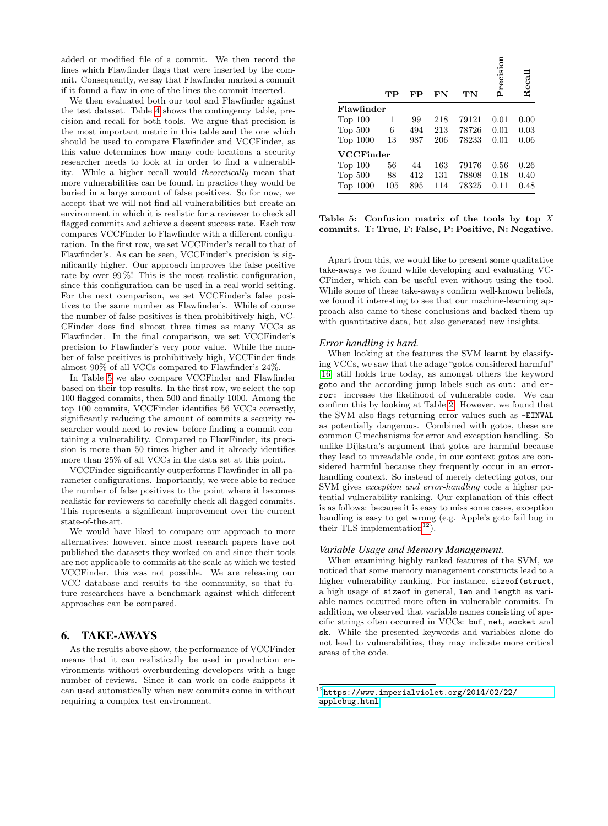added or modified file of a commit. We then record the lines which Flawfinder flags that were inserted by the commit. Consequently, we say that Flawfinder marked a commit if it found a flaw in one of the lines the commit inserted.

We then evaluated both our tool and Flawfinder against the test dataset. Table [4](#page-10-6) shows the contingency table, precision and recall for both tools. We argue that precision is the most important metric in this table and the one which should be used to compare Flawfinder and VCCFinder, as this value determines how many code locations a security researcher needs to look at in order to find a vulnerability. While a higher recall would theoretically mean that more vulnerabilities can be found, in practice they would be buried in a large amount of false positives. So for now, we accept that we will not find all vulnerabilities but create an environment in which it is realistic for a reviewer to check all flagged commits and achieve a decent success rate. Each row compares VCCFinder to Flawfinder with a different configuration. In the first row, we set VCCFinder's recall to that of Flawfinder's. As can be seen, VCCFinder's precision is significantly higher. Our approach improves the false positive rate by over 99 %! This is the most realistic configuration, since this configuration can be used in a real world setting. For the next comparison, we set VCCFinder's false positives to the same number as Flawfinder's. While of course the number of false positives is then prohibitively high, VC-CFinder does find almost three times as many VCCs as Flawfinder. In the final comparison, we set VCCFinder's precision to Flawfinder's very poor value. While the number of false positives is prohibitively high, VCCFinder finds almost 90% of all VCCs compared to Flawfinder's 24%.

In Table [5](#page-9-0) we also compare VCCFinder and Flawfinder based on their top results. In the first row, we select the top 100 flagged commits, then 500 and finally 1000. Among the top 100 commits, VCCFinder identifies 56 VCCs correctly, significantly reducing the amount of commits a security researcher would need to review before finding a commit containing a vulnerability. Compared to FlawFinder, its precision is more than 50 times higher and it already identifies more than 25% of all VCCs in the data set at this point.

VCCFinder significantly outperforms Flawfinder in all parameter configurations. Importantly, we were able to reduce the number of false positives to the point where it becomes realistic for reviewers to carefully check all flagged commits. This represents a significant improvement over the current state-of-the-art.

We would have liked to compare our approach to more alternatives; however, since most research papers have not published the datasets they worked on and since their tools are not applicable to commits at the scale at which we tested VCCFinder, this was not possible. We are releasing our VCC database and results to the community, so that future researchers have a benchmark against which different approaches can be compared.

## 6. TAKE-AWAYS

As the results above show, the performance of VCCFinder means that it can realistically be used in production environments without overburdening developers with a huge number of reviews. Since it can work on code snippets it can used automatically when new commits come in without requiring a complex test environment.

|                  |     |     |     |       | Precision |              |
|------------------|-----|-----|-----|-------|-----------|--------------|
|                  | TР  | FP  | FN  | TN    |           | $\rm Recall$ |
| Flawfinder       |     |     |     |       |           |              |
| Top 100          | 1   | 99  | 218 | 79121 | 0.01      | 0.00         |
| Top $500$        | 6   | 494 | 213 | 78726 | 0.01      | 0.03         |
| Top 1000         | 13  | 987 | 206 | 78233 | 0.01      | 0.06         |
| <b>VCCFinder</b> |     |     |     |       |           |              |
| Top 100          | 56  | 44  | 163 | 79176 | 0.56      | 0.26         |
| Top 500          | 88  | 412 | 131 | 78808 | 0.18      | 0.40         |
| Top 1000         | 105 | 895 | 114 | 78325 | 0.11      | 0.48         |

#### <span id="page-9-0"></span>Table 5: Confusion matrix of the tools by top  $X$ commits. T: True, F: False, P: Positive, N: Negative.

Apart from this, we would like to present some qualitative take-aways we found while developing and evaluating VC-CFinder, which can be useful even without using the tool. While some of these take-aways confirm well-known beliefs, we found it interesting to see that our machine-learning approach also came to these conclusions and backed them up with quantitative data, but also generated new insights.

#### *Error handling is hard.*

When looking at the features the SVM learnt by classifying VCCs, we saw that the adage "gotos considered harmful" [\[16\]](#page-11-32) still holds true today, as amongst others the keyword goto and the according jump labels such as out: and error: increase the likelihood of vulnerable code. We can confirm this by looking at Table [2.](#page-5-1) However, we found that the SVM also flags returning error values such as -EINVAL as potentially dangerous. Combined with gotos, these are common C mechanisms for error and exception handling. So unlike Dijkstra's argument that gotos are harmful because they lead to unreadable code, in our context gotos are considered harmful because they frequently occur in an errorhandling context. So instead of merely detecting gotos, our SVM gives exception and error-handling code a higher potential vulnerability ranking. Our explanation of this effect is as follows: because it is easy to miss some cases, exception handling is easy to get wrong (e.g. Apple's goto fail bug in their TLS implementation<sup>[12](#page-9-1)</sup>).

#### *Variable Usage and Memory Management.*

When examining highly ranked features of the SVM, we noticed that some memory management constructs lead to a higher vulnerability ranking. For instance, sizeof (struct, a high usage of sizeof in general, len and length as variable names occurred more often in vulnerable commits. In addition, we observed that variable names consisting of specific strings often occurred in VCCs: buf, net, socket and sk. While the presented keywords and variables alone do not lead to vulnerabilities, they may indicate more critical areas of the code.

<span id="page-9-1"></span> $^{12}$ [https://www.imperialviolet.org/2014/02/22/](https://www.imperialviolet.org/2014/02/22/applebug.html) [applebug.html](https://www.imperialviolet.org/2014/02/22/applebug.html)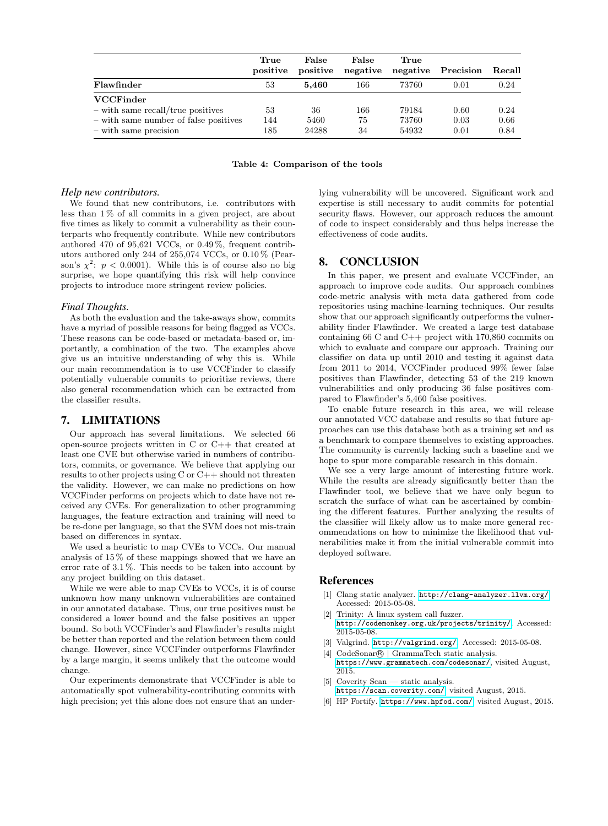|                                       | True<br>positive | False<br>positive | False<br>negative | True  | negative Precision | Recall |
|---------------------------------------|------------------|-------------------|-------------------|-------|--------------------|--------|
| Flawfinder                            | 53               | 5.460             | 166               | 73760 | 0.01               | 0.24   |
| <b>VCCFinder</b>                      |                  |                   |                   |       |                    |        |
| - with same recall/true positives     | 53               | 36                | 166               | 79184 | 0.60               | 0.24   |
| - with same number of false positives | 144              | 5460              | 75                | 73760 | 0.03               | 0.66   |
| - with same precision                 | 185              | 24288             | 34                | 54932 | 0.01               | 0.84   |

<span id="page-10-6"></span>Table 4: Comparison of the tools

#### *Help new contributors.*

We found that new contributors, i.e. contributors with less than  $1\%$  of all commits in a given project, are about five times as likely to commit a vulnerability as their counterparts who frequently contribute. While new contributors authored 470 of 95,621 VCCs, or 0.49 %, frequent contributors authored only 244 of 255,074 VCCs, or 0.10 % (Pearson's  $\chi^2$ :  $p < 0.0001$ ). While this is of course also no big surprise, we hope quantifying this risk will help convince projects to introduce more stringent review policies.

#### *Final Thoughts.*

As both the evaluation and the take-aways show, commits have a myriad of possible reasons for being flagged as VCCs. These reasons can be code-based or metadata-based or, importantly, a combination of the two. The examples above give us an intuitive understanding of why this is. While our main recommendation is to use VCCFinder to classify potentially vulnerable commits to prioritize reviews, there also general recommendation which can be extracted from the classifier results.

## 7. LIMITATIONS

Our approach has several limitations. We selected 66 open-source projects written in C or C++ that created at least one CVE but otherwise varied in numbers of contributors, commits, or governance. We believe that applying our results to other projects using  $C$  or  $C++$  should not threaten the validity. However, we can make no predictions on how VCCFinder performs on projects which to date have not received any CVEs. For generalization to other programming languages, the feature extraction and training will need to be re-done per language, so that the SVM does not mis-train based on differences in syntax.

We used a heuristic to map CVEs to VCCs. Our manual analysis of 15 % of these mappings showed that we have an error rate of 3.1 %. This needs to be taken into account by any project building on this dataset.

While we were able to map CVEs to VCCs, it is of course unknown how many unknown vulnerabilities are contained in our annotated database. Thus, our true positives must be considered a lower bound and the false positives an upper bound. So both VCCFinder's and Flawfinder's results might be better than reported and the relation between them could change. However, since VCCFinder outperforms Flawfinder by a large margin, it seems unlikely that the outcome would change.

Our experiments demonstrate that VCCFinder is able to automatically spot vulnerability-contributing commits with high precision; yet this alone does not ensure that an underlying vulnerability will be uncovered. Significant work and expertise is still necessary to audit commits for potential security flaws. However, our approach reduces the amount of code to inspect considerably and thus helps increase the effectiveness of code audits.

## 8. CONCLUSION

In this paper, we present and evaluate VCCFinder, an approach to improve code audits. Our approach combines code-metric analysis with meta data gathered from code repositories using machine-learning techniques. Our results show that our approach significantly outperforms the vulnerability finder Flawfinder. We created a large test database containing  $66$  C and  $C++$  project with  $170,860$  commits on which to evaluate and compare our approach. Training our classifier on data up until 2010 and testing it against data from 2011 to 2014, VCCFinder produced 99% fewer false positives than Flawfinder, detecting 53 of the 219 known vulnerabilities and only producing 36 false positives compared to Flawfinder's 5,460 false positives.

To enable future research in this area, we will release our annotated VCC database and results so that future approaches can use this database both as a training set and as a benchmark to compare themselves to existing approaches. The community is currently lacking such a baseline and we hope to spur more comparable research in this domain.

We see a very large amount of interesting future work. While the results are already significantly better than the Flawfinder tool, we believe that we have only begun to scratch the surface of what can be ascertained by combining the different features. Further analyzing the results of the classifier will likely allow us to make more general recommendations on how to minimize the likelihood that vulnerabilities make it from the initial vulnerable commit into deployed software.

#### References

- <span id="page-10-0"></span>[1] Clang static analyzer. <http://clang-analyzer.llvm.org/>. Accessed: 2015-05-08.
- <span id="page-10-2"></span>[2] Trinity: A linux system call fuzzer.
- <http://codemonkey.org.uk/projects/trinity/>. Accessed: 2015-05-08.
- <span id="page-10-1"></span>[3] Valgrind. <http://valgrind.org/>. Accessed: 2015-05-08.
- <span id="page-10-5"></span>[4] CodeSonar® | GrammaTech static analysis. <https://www.grammatech.com/codesonar/>, visited August, 2015.
- <span id="page-10-3"></span>[5] Coverity Scan — static analysis. <https://scan.coverity.com/>, visited August, 2015.
- <span id="page-10-4"></span>[6] HP Fortify. <https://www.hpfod.com/>, visited August, 2015.